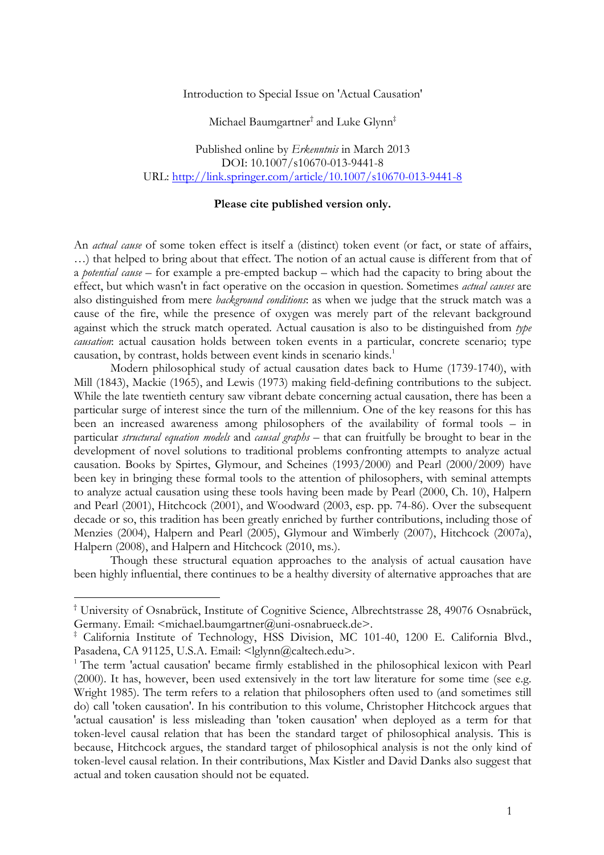Introduction to Special Issue on 'Actual Causation'

Michael Baumgartner† and Luke Glynn‡

Published online by *Erkenntnis* in March 2013 DOI: 10.1007/s10670-013-9441-8 URL: http://link.springer.com/article/10.1007/s10670-013-9441-8

## **Please cite published version only.**

An *actual cause* of some token effect is itself a (distinct) token event (or fact, or state of affairs, …) that helped to bring about that effect. The notion of an actual cause is different from that of a *potential cause* – for example a pre-empted backup – which had the capacity to bring about the effect, but which wasn't in fact operative on the occasion in question. Sometimes *actual causes* are also distinguished from mere *background conditions*: as when we judge that the struck match was a cause of the fire, while the presence of oxygen was merely part of the relevant background against which the struck match operated. Actual causation is also to be distinguished from *type causation*: actual causation holds between token events in a particular, concrete scenario; type causation, by contrast, holds between event kinds in scenario kinds.<sup>1</sup>

Modern philosophical study of actual causation dates back to Hume (1739-1740), with Mill (1843), Mackie (1965), and Lewis (1973) making field-defining contributions to the subject. While the late twentieth century saw vibrant debate concerning actual causation, there has been a particular surge of interest since the turn of the millennium. One of the key reasons for this has been an increased awareness among philosophers of the availability of formal tools – in particular *structural equation models* and *causal graphs* – that can fruitfully be brought to bear in the development of novel solutions to traditional problems confronting attempts to analyze actual causation. Books by Spirtes, Glymour, and Scheines (1993/2000) and Pearl (2000/2009) have been key in bringing these formal tools to the attention of philosophers, with seminal attempts to analyze actual causation using these tools having been made by Pearl (2000, Ch. 10), Halpern and Pearl (2001), Hitchcock (2001), and Woodward (2003, esp. pp. 74-86). Over the subsequent decade or so, this tradition has been greatly enriched by further contributions, including those of Menzies (2004), Halpern and Pearl (2005), Glymour and Wimberly (2007), Hitchcock (2007a), Halpern (2008), and Halpern and Hitchcock (2010, ms.).

Though these structural equation approaches to the analysis of actual causation have been highly influential, there continues to be a healthy diversity of alternative approaches that are

<sup>†</sup> University of Osnabrück, Institute of Cognitive Science, Albrechtstrasse 28, 49076 Osnabrück, Germany. Email: <michael.baumgartner@uni-osnabrueck.de>.

<sup>‡</sup> California Institute of Technology, HSS Division, MC 101-40, 1200 E. California Blvd., Pasadena, CA 91125, U.S.A. Email: <lglynn@caltech.edu>.

 $1$ <sup>1</sup> The term 'actual causation' became firmly established in the philosophical lexicon with Pearl (2000). It has, however, been used extensively in the tort law literature for some time (see e.g. Wright 1985). The term refers to a relation that philosophers often used to (and sometimes still do) call 'token causation'. In his contribution to this volume, Christopher Hitchcock argues that 'actual causation' is less misleading than 'token causation' when deployed as a term for that token-level causal relation that has been the standard target of philosophical analysis. This is because, Hitchcock argues, the standard target of philosophical analysis is not the only kind of token-level causal relation. In their contributions, Max Kistler and David Danks also suggest that actual and token causation should not be equated.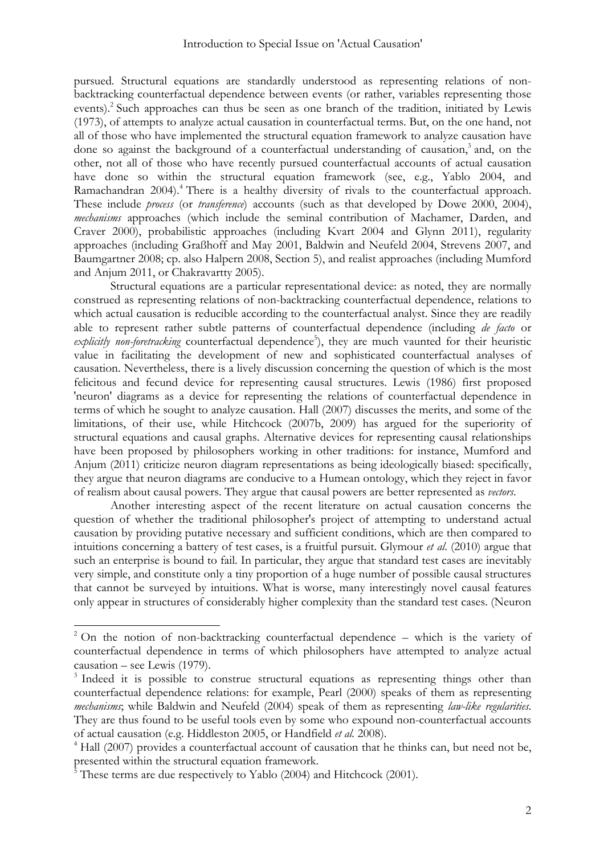pursued. Structural equations are standardly understood as representing relations of nonbacktracking counterfactual dependence between events (or rather, variables representing those events).<sup>2</sup> Such approaches can thus be seen as one branch of the tradition, initiated by Lewis (1973), of attempts to analyze actual causation in counterfactual terms. But, on the one hand, not all of those who have implemented the structural equation framework to analyze causation have done so against the background of a counterfactual understanding of causation, $3$  and, on the other, not all of those who have recently pursued counterfactual accounts of actual causation have done so within the structural equation framework (see, e.g., Yablo 2004, and Ramachandran 2004).<sup>4</sup> There is a healthy diversity of rivals to the counterfactual approach. These include *process* (or *transference*) accounts (such as that developed by Dowe 2000, 2004), *mechanisms* approaches (which include the seminal contribution of Machamer, Darden, and Craver 2000), probabilistic approaches (including Kvart 2004 and Glynn 2011), regularity approaches (including Graßhoff and May 2001, Baldwin and Neufeld 2004, Strevens 2007, and Baumgartner 2008; cp. also Halpern 2008, Section 5), and realist approaches (including Mumford and Anjum 2011, or Chakravartty 2005).

Structural equations are a particular representational device: as noted, they are normally construed as representing relations of non-backtracking counterfactual dependence, relations to which actual causation is reducible according to the counterfactual analyst. Since they are readily able to represent rather subtle patterns of counterfactual dependence (including *de facto* or explicitly non-foretracking counterfactual dependence<sup>5</sup>), they are much vaunted for their heuristic value in facilitating the development of new and sophisticated counterfactual analyses of causation. Nevertheless, there is a lively discussion concerning the question of which is the most felicitous and fecund device for representing causal structures. Lewis (1986) first proposed 'neuron' diagrams as a device for representing the relations of counterfactual dependence in terms of which he sought to analyze causation. Hall (2007) discusses the merits, and some of the limitations, of their use, while Hitchcock (2007b, 2009) has argued for the superiority of structural equations and causal graphs. Alternative devices for representing causal relationships have been proposed by philosophers working in other traditions: for instance, Mumford and Anjum (2011) criticize neuron diagram representations as being ideologically biased: specifically, they argue that neuron diagrams are conducive to a Humean ontology, which they reject in favor of realism about causal powers. They argue that causal powers are better represented as *vectors*.

Another interesting aspect of the recent literature on actual causation concerns the question of whether the traditional philosopher's project of attempting to understand actual causation by providing putative necessary and sufficient conditions, which are then compared to intuitions concerning a battery of test cases, is a fruitful pursuit. Glymour *et al*. (2010) argue that such an enterprise is bound to fail. In particular, they argue that standard test cases are inevitably very simple, and constitute only a tiny proportion of a huge number of possible causal structures that cannot be surveyed by intuitions. What is worse, many interestingly novel causal features only appear in structures of considerably higher complexity than the standard test cases. (Neuron

 $2$  On the notion of non-backtracking counterfactual dependence – which is the variety of counterfactual dependence in terms of which philosophers have attempted to analyze actual causation – see Lewis (1979).

<sup>&</sup>lt;sup>3</sup> Indeed it is possible to construe structural equations as representing things other than counterfactual dependence relations: for example, Pearl (2000) speaks of them as representing *mechanisms*; while Baldwin and Neufeld (2004) speak of them as representing *law-like regularities*. They are thus found to be useful tools even by some who expound non-counterfactual accounts of actual causation (e.g. Hiddleston 2005, or Handfield *et al.* 2008).

 $4$  Hall (2007) provides a counterfactual account of causation that he thinks can, but need not be, presented within the structural equation framework.

 $\frac{5}{5}$  These terms are due respectively to Yablo (2004) and Hitchcock (2001).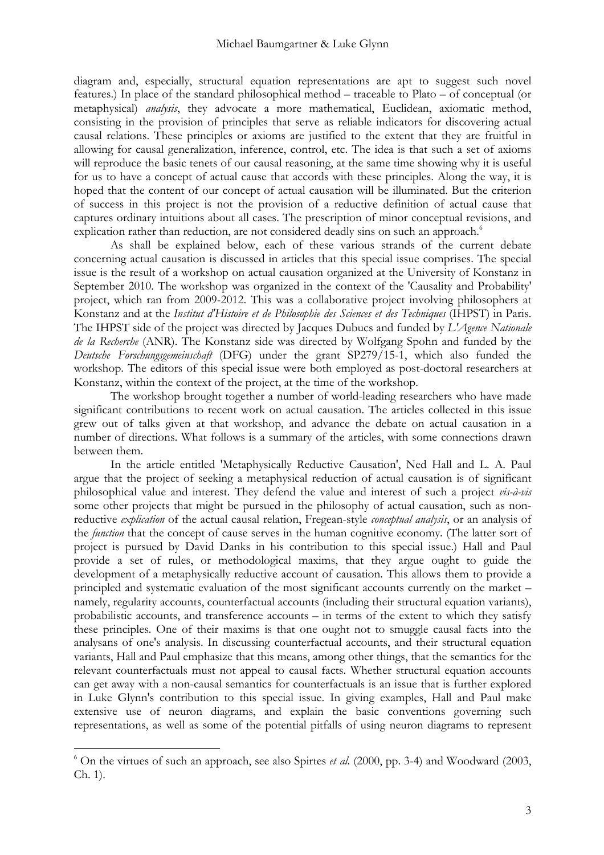diagram and, especially, structural equation representations are apt to suggest such novel features.) In place of the standard philosophical method – traceable to Plato – of conceptual (or metaphysical) *analysis*, they advocate a more mathematical, Euclidean, axiomatic method, consisting in the provision of principles that serve as reliable indicators for discovering actual causal relations. These principles or axioms are justified to the extent that they are fruitful in allowing for causal generalization, inference, control, etc. The idea is that such a set of axioms will reproduce the basic tenets of our causal reasoning, at the same time showing why it is useful for us to have a concept of actual cause that accords with these principles. Along the way, it is hoped that the content of our concept of actual causation will be illuminated. But the criterion of success in this project is not the provision of a reductive definition of actual cause that captures ordinary intuitions about all cases. The prescription of minor conceptual revisions, and explication rather than reduction, are not considered deadly sins on such an approach.<sup>6</sup>

As shall be explained below, each of these various strands of the current debate concerning actual causation is discussed in articles that this special issue comprises. The special issue is the result of a workshop on actual causation organized at the University of Konstanz in September 2010. The workshop was organized in the context of the 'Causality and Probability' project, which ran from 2009-2012. This was a collaborative project involving philosophers at Konstanz and at the *Institut d'Histoire et de Philosophie des Sciences et des Techniques* (IHPST) in Paris. The IHPST side of the project was directed by Jacques Dubucs and funded by *L'Agence Nationale de la Recherche* (ANR). The Konstanz side was directed by Wolfgang Spohn and funded by the *Deutsche Forschungsgemeinschaft* (DFG) under the grant SP279/15-1, which also funded the workshop. The editors of this special issue were both employed as post-doctoral researchers at Konstanz, within the context of the project, at the time of the workshop.

The workshop brought together a number of world-leading researchers who have made significant contributions to recent work on actual causation. The articles collected in this issue grew out of talks given at that workshop, and advance the debate on actual causation in a number of directions. What follows is a summary of the articles, with some connections drawn between them.

In the article entitled 'Metaphysically Reductive Causation', Ned Hall and L. A. Paul argue that the project of seeking a metaphysical reduction of actual causation is of significant philosophical value and interest. They defend the value and interest of such a project *vis-à-vis* some other projects that might be pursued in the philosophy of actual causation, such as nonreductive *explication* of the actual causal relation, Fregean-style *conceptual analysis*, or an analysis of the *function* that the concept of cause serves in the human cognitive economy. (The latter sort of project is pursued by David Danks in his contribution to this special issue.) Hall and Paul provide a set of rules, or methodological maxims, that they argue ought to guide the development of a metaphysically reductive account of causation. This allows them to provide a principled and systematic evaluation of the most significant accounts currently on the market – namely, regularity accounts, counterfactual accounts (including their structural equation variants), probabilistic accounts, and transference accounts – in terms of the extent to which they satisfy these principles. One of their maxims is that one ought not to smuggle causal facts into the analysans of one's analysis. In discussing counterfactual accounts, and their structural equation variants, Hall and Paul emphasize that this means, among other things, that the semantics for the relevant counterfactuals must not appeal to causal facts. Whether structural equation accounts can get away with a non-causal semantics for counterfactuals is an issue that is further explored in Luke Glynn's contribution to this special issue. In giving examples, Hall and Paul make extensive use of neuron diagrams, and explain the basic conventions governing such representations, as well as some of the potential pitfalls of using neuron diagrams to represent

 $6$  On the virtues of such an approach, see also Spirtes *et al.* (2000, pp. 3-4) and Woodward (2003, Ch. 1).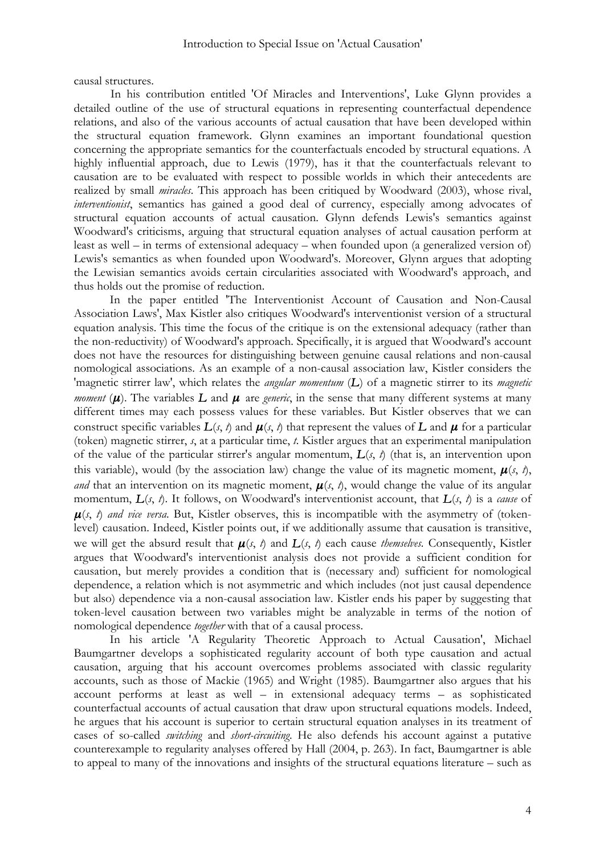causal structures.

In his contribution entitled 'Of Miracles and Interventions', Luke Glynn provides a detailed outline of the use of structural equations in representing counterfactual dependence relations, and also of the various accounts of actual causation that have been developed within the structural equation framework. Glynn examines an important foundational question concerning the appropriate semantics for the counterfactuals encoded by structural equations. A highly influential approach, due to Lewis (1979), has it that the counterfactuals relevant to causation are to be evaluated with respect to possible worlds in which their antecedents are realized by small *miracles*. This approach has been critiqued by Woodward (2003), whose rival, *interventionist*, semantics has gained a good deal of currency, especially among advocates of structural equation accounts of actual causation. Glynn defends Lewis's semantics against Woodward's criticisms, arguing that structural equation analyses of actual causation perform at least as well – in terms of extensional adequacy – when founded upon (a generalized version of) Lewis's semantics as when founded upon Woodward's. Moreover, Glynn argues that adopting the Lewisian semantics avoids certain circularities associated with Woodward's approach, and thus holds out the promise of reduction.

In the paper entitled 'The Interventionist Account of Causation and Non-Causal Association Laws', Max Kistler also critiques Woodward's interventionist version of a structural equation analysis. This time the focus of the critique is on the extensional adequacy (rather than the non-reductivity) of Woodward's approach. Specifically, it is argued that Woodward's account does not have the resources for distinguishing between genuine causal relations and non-causal nomological associations. As an example of a non-causal association law, Kistler considers the 'magnetic stirrer law', which relates the *angular momentum* (*L*) of a magnetic stirrer to its *magnetic moment* ( $\mu$ ). The variables  $L$  and  $\mu$  are *generic*, in the sense that many different systems at many different times may each possess values for these variables. But Kistler observes that we can construct specific variables  $L(s, t)$  and  $\mu(s, t)$  that represent the values of  $L$  and  $\mu$  for a particular (token) magnetic stirrer, *s*, at a particular time, *t*. Kistler argues that an experimental manipulation of the value of the particular stirrer's angular momentum,  $L(s, t)$  (that is, an intervention upon this variable), would (by the association law) change the value of its magnetic moment,  $\mu(s, t)$ , *and* that an intervention on its magnetic moment,  $\mu(s, t)$ , would change the value of its angular momentum, *L*(*s*, *t*). It follows, on Woodward's interventionist account, that *L*(*s*, *t*) is a *cause* of  $\mu(s, t)$  *and vice versa*. But, Kistler observes, this is incompatible with the asymmetry of (tokenlevel) causation. Indeed, Kistler points out, if we additionally assume that causation is transitive, we will get the absurd result that  $\mu(s, t)$  and  $L(s, t)$  each cause *themselves*. Consequently, Kistler argues that Woodward's interventionist analysis does not provide a sufficient condition for causation, but merely provides a condition that is (necessary and) sufficient for nomological dependence, a relation which is not asymmetric and which includes (not just causal dependence but also) dependence via a non-causal association law. Kistler ends his paper by suggesting that token-level causation between two variables might be analyzable in terms of the notion of nomological dependence *together* with that of a causal process.

In his article 'A Regularity Theoretic Approach to Actual Causation', Michael Baumgartner develops a sophisticated regularity account of both type causation and actual causation, arguing that his account overcomes problems associated with classic regularity accounts, such as those of Mackie (1965) and Wright (1985). Baumgartner also argues that his account performs at least as well – in extensional adequacy terms – as sophisticated counterfactual accounts of actual causation that draw upon structural equations models. Indeed, he argues that his account is superior to certain structural equation analyses in its treatment of cases of so-called *switching* and *short-circuiting*. He also defends his account against a putative counterexample to regularity analyses offered by Hall (2004, p. 263). In fact, Baumgartner is able to appeal to many of the innovations and insights of the structural equations literature – such as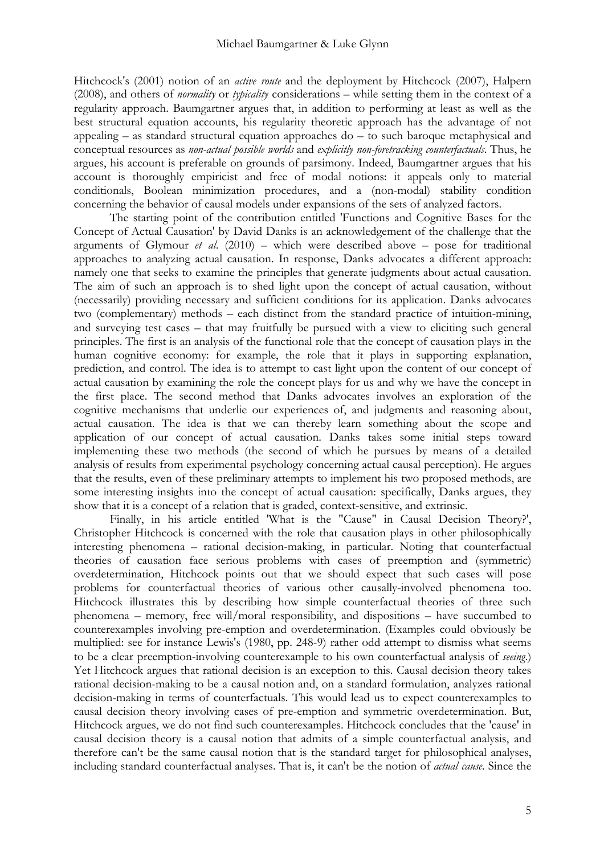Hitchcock's (2001) notion of an *active route* and the deployment by Hitchcock (2007), Halpern (2008), and others of *normality* or *typicality* considerations – while setting them in the context of a regularity approach. Baumgartner argues that, in addition to performing at least as well as the best structural equation accounts, his regularity theoretic approach has the advantage of not appealing – as standard structural equation approaches do – to such baroque metaphysical and conceptual resources as *non-actual possible worlds* and *explicitly non-foretracking counterfactuals*. Thus, he argues, his account is preferable on grounds of parsimony. Indeed, Baumgartner argues that his account is thoroughly empiricist and free of modal notions: it appeals only to material conditionals, Boolean minimization procedures, and a (non-modal) stability condition concerning the behavior of causal models under expansions of the sets of analyzed factors.

The starting point of the contribution entitled 'Functions and Cognitive Bases for the Concept of Actual Causation' by David Danks is an acknowledgement of the challenge that the arguments of Glymour *et al*. (2010) – which were described above – pose for traditional approaches to analyzing actual causation. In response, Danks advocates a different approach: namely one that seeks to examine the principles that generate judgments about actual causation. The aim of such an approach is to shed light upon the concept of actual causation, without (necessarily) providing necessary and sufficient conditions for its application. Danks advocates two (complementary) methods – each distinct from the standard practice of intuition-mining, and surveying test cases – that may fruitfully be pursued with a view to eliciting such general principles. The first is an analysis of the functional role that the concept of causation plays in the human cognitive economy: for example, the role that it plays in supporting explanation, prediction, and control. The idea is to attempt to cast light upon the content of our concept of actual causation by examining the role the concept plays for us and why we have the concept in the first place. The second method that Danks advocates involves an exploration of the cognitive mechanisms that underlie our experiences of, and judgments and reasoning about, actual causation. The idea is that we can thereby learn something about the scope and application of our concept of actual causation. Danks takes some initial steps toward implementing these two methods (the second of which he pursues by means of a detailed analysis of results from experimental psychology concerning actual causal perception). He argues that the results, even of these preliminary attempts to implement his two proposed methods, are some interesting insights into the concept of actual causation: specifically, Danks argues, they show that it is a concept of a relation that is graded, context-sensitive, and extrinsic.

Finally, in his article entitled 'What is the "Cause" in Causal Decision Theory?', Christopher Hitchcock is concerned with the role that causation plays in other philosophically interesting phenomena – rational decision-making, in particular. Noting that counterfactual theories of causation face serious problems with cases of preemption and (symmetric) overdetermination, Hitchcock points out that we should expect that such cases will pose problems for counterfactual theories of various other causally-involved phenomena too. Hitchcock illustrates this by describing how simple counterfactual theories of three such phenomena – memory, free will/moral responsibility, and dispositions – have succumbed to counterexamples involving pre-emption and overdetermination. (Examples could obviously be multiplied: see for instance Lewis's (1980, pp. 248-9) rather odd attempt to dismiss what seems to be a clear preemption-involving counterexample to his own counterfactual analysis of *seeing*.) Yet Hitchcock argues that rational decision is an exception to this. Causal decision theory takes rational decision-making to be a causal notion and, on a standard formulation, analyzes rational decision-making in terms of counterfactuals. This would lead us to expect counterexamples to causal decision theory involving cases of pre-emption and symmetric overdetermination. But, Hitchcock argues, we do not find such counterexamples. Hitchcock concludes that the 'cause' in causal decision theory is a causal notion that admits of a simple counterfactual analysis, and therefore can't be the same causal notion that is the standard target for philosophical analyses, including standard counterfactual analyses. That is, it can't be the notion of *actual cause*. Since the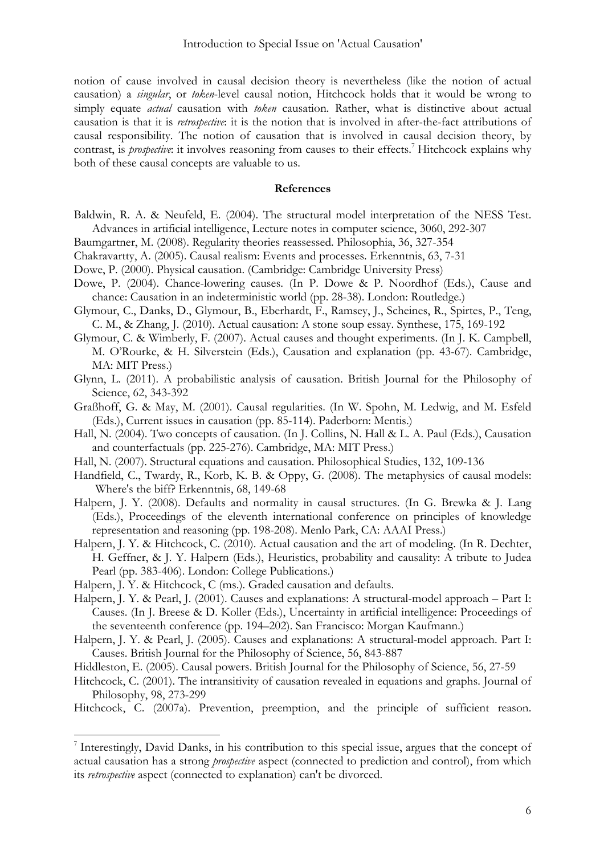notion of cause involved in causal decision theory is nevertheless (like the notion of actual causation) a *singular*, or *token*-level causal notion, Hitchcock holds that it would be wrong to simply equate *actual* causation with *token* causation. Rather, what is distinctive about actual causation is that it is *retrospective*: it is the notion that is involved in after-the-fact attributions of causal responsibility. The notion of causation that is involved in causal decision theory, by contrast, is *prospective*: it involves reasoning from causes to their effects.<sup>7</sup> Hitchcock explains why both of these causal concepts are valuable to us.

## **References**

- Baldwin, R. A. & Neufeld, E. (2004). The structural model interpretation of the NESS Test. Advances in artificial intelligence, Lecture notes in computer science, 3060, 292-307
- Baumgartner, M. (2008). Regularity theories reassessed. Philosophia, 36, 327-354
- Chakravartty, A. (2005). Causal realism: Events and processes. Erkenntnis, 63, 7-31
- Dowe, P. (2000). Physical causation. (Cambridge: Cambridge University Press)
- Dowe, P. (2004). Chance-lowering causes. (In P. Dowe & P. Noordhof (Eds.), Cause and chance: Causation in an indeterministic world (pp. 28-38). London: Routledge.)
- Glymour, C., Danks, D., Glymour, B., Eberhardt, F., Ramsey, J., Scheines, R., Spirtes, P., Teng, C. M., & Zhang, J. (2010). Actual causation: A stone soup essay. Synthese, 175, 169-192
- Glymour, C. & Wimberly, F. (2007). Actual causes and thought experiments. (In J. K. Campbell, M. O'Rourke, & H. Silverstein (Eds.), Causation and explanation (pp. 43-67). Cambridge, MA: MIT Press.)
- Glynn, L. (2011). A probabilistic analysis of causation. British Journal for the Philosophy of Science, 62, 343-392
- Graßhoff, G. & May, M. (2001). Causal regularities. (In W. Spohn, M. Ledwig, and M. Esfeld (Eds.), Current issues in causation (pp. 85-114). Paderborn: Mentis.)
- Hall, N. (2004). Two concepts of causation. (In J. Collins, N. Hall & L. A. Paul (Eds.), Causation and counterfactuals (pp. 225-276). Cambridge, MA: MIT Press.)
- Hall, N. (2007). Structural equations and causation. Philosophical Studies, 132, 109-136
- Handfield, C., Twardy, R., Korb, K. B. & Oppy, G. (2008). The metaphysics of causal models: Where's the biff? Erkenntnis, 68, 149-68
- Halpern, J. Y. (2008). Defaults and normality in causal structures. (In G. Brewka & J. Lang (Eds.), Proceedings of the eleventh international conference on principles of knowledge representation and reasoning (pp. 198-208). Menlo Park, CA: AAAI Press.)
- Halpern, J. Y. & Hitchcock, C. (2010). Actual causation and the art of modeling. (In R. Dechter, H. Geffner, & J. Y. Halpern (Eds.), Heuristics, probability and causality: A tribute to Judea Pearl (pp. 383-406). London: College Publications.)
- Halpern, J. Y. & Hitchcock, C (ms.). Graded causation and defaults.

- Halpern, J. Y. & Pearl, J. (2001). Causes and explanations: A structural-model approach Part I: Causes. (In J. Breese & D. Koller (Eds.), Uncertainty in artificial intelligence: Proceedings of the seventeenth conference (pp. 194–202). San Francisco: Morgan Kaufmann.)
- Halpern, J. Y. & Pearl, J. (2005). Causes and explanations: A structural-model approach. Part I: Causes. British Journal for the Philosophy of Science, 56, 843-887
- Hiddleston, E. (2005). Causal powers. British Journal for the Philosophy of Science, 56, 27-59
- Hitchcock, C. (2001). The intransitivity of causation revealed in equations and graphs. Journal of Philosophy, 98, 273-299
- Hitchcock, C. (2007a). Prevention, preemption, and the principle of sufficient reason.

 $^7$  Interestingly, David Danks, in his contribution to this special issue, argues that the concept of actual causation has a strong *prospective* aspect (connected to prediction and control), from which its *retrospective* aspect (connected to explanation) can't be divorced.